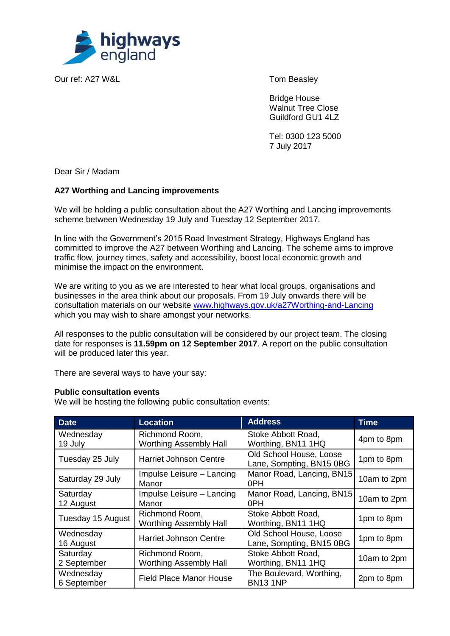

Our ref: A27 W&L Tom Beasley

Bridge House Walnut Tree Close Guildford GU1 4LZ

Tel: 0300 123 5000 7 July 2017

Dear Sir / Madam

# **A27 Worthing and Lancing improvements**

We will be holding a public consultation about the A27 Worthing and Lancing improvements scheme between Wednesday 19 July and Tuesday 12 September 2017.

In line with the Government's 2015 Road Investment Strategy, Highways England has committed to improve the A27 between Worthing and Lancing. The scheme aims to improve traffic flow, journey times, safety and accessibility, boost local economic growth and minimise the impact on the environment.

We are writing to you as we are interested to hear what local groups, organisations and businesses in the area think about our proposals. From 19 July onwards there will be consultation materials on our website [www.highways.gov.uk/a27Worthing-and-Lancing](http://www.highways.gov.uk/a27Worthing-and-Lancing) which you may wish to share amongst your networks.

All responses to the public consultation will be considered by our project team. The closing date for responses is **11.59pm on 12 September 2017**. A report on the public consultation will be produced later this year.

There are several ways to have your say:

## **Public consultation events**

We will be hosting the following public consultation events:

| <b>Date</b>              | <b>Location</b>                                 | <b>Address</b>                                      | <b>Time</b> |
|--------------------------|-------------------------------------------------|-----------------------------------------------------|-------------|
| Wednesday<br>19 July     | Richmond Room,<br><b>Worthing Assembly Hall</b> | Stoke Abbott Road,<br>Worthing, BN11 1HQ            | 4pm to 8pm  |
| Tuesday 25 July          | <b>Harriet Johnson Centre</b>                   | Old School House, Loose<br>Lane, Sompting, BN15 0BG | 1pm to 8pm  |
| Saturday 29 July         | Impulse Leisure - Lancing<br>Manor              | Manor Road, Lancing, BN15<br>0PH                    | 10am to 2pm |
| Saturday<br>12 August    | Impulse Leisure - Lancing<br>Manor              | Manor Road, Lancing, BN15<br>0PH                    | 10am to 2pm |
| Tuesday 15 August        | Richmond Room,<br><b>Worthing Assembly Hall</b> | Stoke Abbott Road,<br>Worthing, BN11 1HQ            | 1pm to 8pm  |
| Wednesday<br>16 August   | <b>Harriet Johnson Centre</b>                   | Old School House, Loose<br>Lane, Sompting, BN15 0BG | 1pm to 8pm  |
| Saturday<br>2 September  | Richmond Room,<br><b>Worthing Assembly Hall</b> | Stoke Abbott Road,<br>Worthing, BN11 1HQ            | 10am to 2pm |
| Wednesday<br>6 September | <b>Field Place Manor House</b>                  | The Boulevard, Worthing,<br><b>BN131NP</b>          | 2pm to 8pm  |